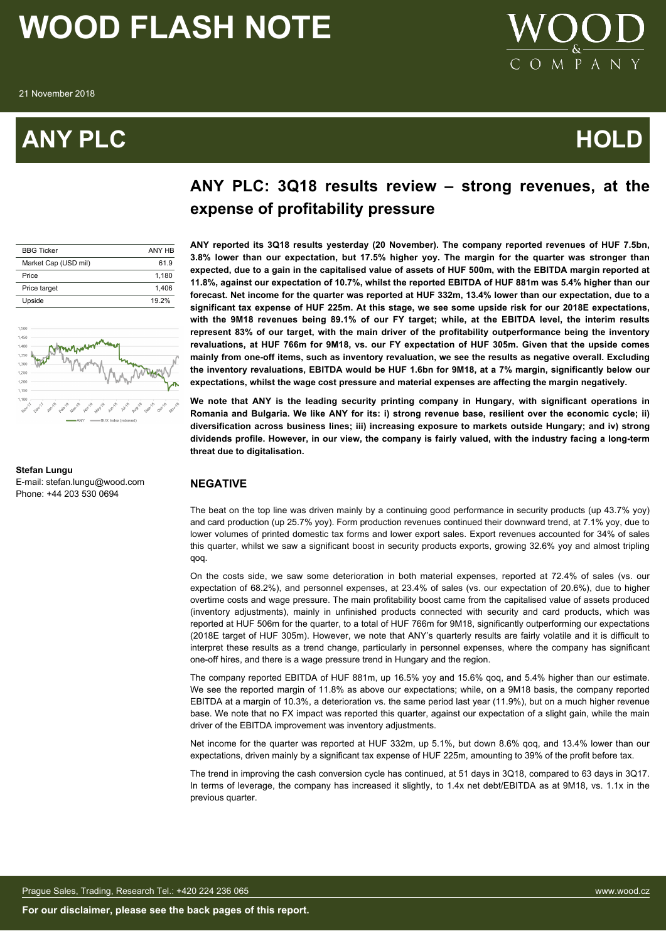### **ANY PLC HOLD**



### **ANY PLC: 3Q18 results review – strong revenues, at the expense of profitability pressure**

| <b>BBG Ticker</b>    | ANY HR |
|----------------------|--------|
| Market Cap (USD mil) | 619    |
| Price                | 1.180  |
| Price target         | 1,406  |
| Upside               | 19 2%  |
|                      |        |



#### **Stefan Lungu** E-mail: stefan.lungu@wood.com Phone: +44 203 530 0694

**ANY reported its 3Q18 results yesterday (20 November). The company reported revenues of HUF 7.5bn, 3.8% lower than our expectation, but 17.5% higher yoy. The margin for the quarter was stronger than expected, due to a gain in the capitalised value of assets of HUF 500m, with the EBITDA margin reported at 11.8%, against our expectation of 10.7%, whilst the reported EBITDA of HUF 881m was 5.4% higher than our forecast. Net income for the quarter was reported at HUF 332m, 13.4% lower than our expectation, due to a significant tax expense of HUF 225m. At this stage, we see some upside risk for our 2018E expectations, with the 9M18 revenues being 89.1% of our FY target; while, at the EBITDA level, the interim results represent 83% of our target, with the main driver of the profitability outperformance being the inventory revaluations, at HUF 766m for 9M18, vs. our FY expectation of HUF 305m. Given that the upside comes mainly from one-off items, such as inventory revaluation, we see the results as negative overall. Excluding the inventory revaluations, EBITDA would be HUF 1.6bn for 9M18, at a 7% margin, significantly below our expectations, whilst the wage cost pressure and material expenses are affecting the margin negatively.**

**We note that ANY is the leading security printing company in Hungary, with significant operations in Romania and Bulgaria. We like ANY for its: i) strong revenue base, resilient over the economic cycle; ii) diversification across business lines; iii) increasing exposure to markets outside Hungary; and iv) strong dividends profile. However, in our view, the company is fairly valued, with the industry facing a long-term threat due to digitalisation.**

### **NEGATIVE**

The beat on the top line was driven mainly by a continuing good performance in security products (up 43.7% yoy) and card production (up 25.7% yoy). Form production revenues continued their downward trend, at 7.1% yoy, due to lower volumes of printed domestic tax forms and lower export sales. Export revenues accounted for 34% of sales this quarter, whilst we saw a significant boost in security products exports, growing 32.6% yoy and almost tripling qoq.

On the costs side, we saw some deterioration in both material expenses, reported at 72.4% of sales (vs. our expectation of 68.2%), and personnel expenses, at 23.4% of sales (vs. our expectation of 20.6%), due to higher overtime costs and wage pressure. The main profitability boost came from the capitalised value of assets produced (inventory adjustments), mainly in unfinished products connected with security and card products, which was reported at HUF 506m for the quarter, to a total of HUF 766m for 9M18, significantly outperforming our expectations (2018E target of HUF 305m). However, we note that ANY's quarterly results are fairly volatile and it is difficult to interpret these results as a trend change, particularly in personnel expenses, where the company has significant one-off hires, and there is a wage pressure trend in Hungary and the region.

The company reported EBITDA of HUF 881m, up 16.5% yoy and 15.6% qoq, and 5.4% higher than our estimate. We see the reported margin of 11.8% as above our expectations; while, on a 9M18 basis, the company reported EBITDA at a margin of 10.3%, a deterioration vs. the same period last year (11.9%), but on a much higher revenue base. We note that no FX impact was reported this quarter, against our expectation of a slight gain, while the main driver of the EBITDA improvement was inventory adjustments.

Net income for the quarter was reported at HUF 332m, up 5.1%, but down 8.6% gog, and 13.4% lower than our expectations, driven mainly by a significant tax expense of HUF 225m, amounting to 39% of the profit before tax.

The trend in improving the cash conversion cycle has continued, at 51 days in 3Q18, compared to 63 days in 3Q17. In terms of leverage, the company has increased it slightly, to 1.4x net debt/EBITDA as at 9M18, vs. 1.1x in the previous quarter.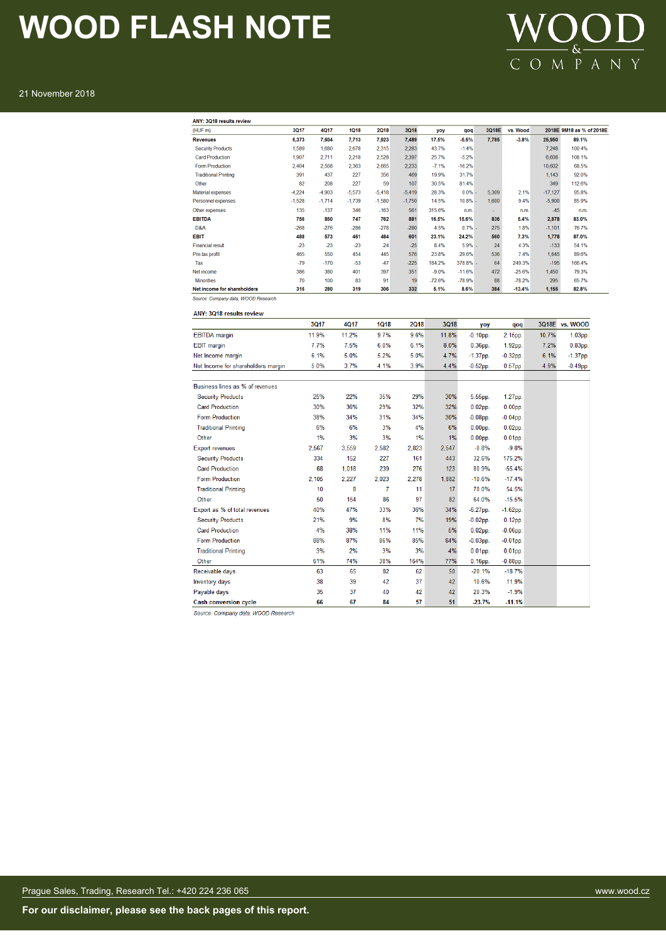### WOOD  $C$  O M  $\overline{P}$  A N Y

#### 21 November 2018

| ANY: 3Q18 results review    |          |          |          |          |          |          |           |       |          |           |                          |
|-----------------------------|----------|----------|----------|----------|----------|----------|-----------|-------|----------|-----------|--------------------------|
| (HUF <sub>m</sub> )         | 3017     | 4017     | 1018     | 2018     | 3Q18     | yoy      | qoq       | 3Q18E | vs. Wood |           | 2018E 9M18 as % of 2018E |
| <b>Revenues</b>             | 6,373    | 7.604    | 7.713    | 7.923    | 7,489    | 17.5%    | $-5.5%$   | 7,785 | $-3.8%$  | 25,950    | 89.1%                    |
| <b>Security Products</b>    | 1,589    | 1,680    | 2,678    | 2,315    | 2,283    | 43.7%    | $-1.4%$   |       |          | 7.248     | 100.4%                   |
| <b>Card Production</b>      | 1,907    | 2.711    | 2,218    | 2,528    | 2,397    | 25.7%    | $-5.2%$   |       |          | 6,608     | 108.1%                   |
| <b>Form Production</b>      | 2.404    | 2.568    | 2.363    | 2.665    | 2.233    | $-7.1%$  | $-16.2%$  |       |          | 10,602    | 68.5%                    |
| <b>Traditional Printing</b> | 391      | 437      | 227      | 356      | 469      | 19.9%    | 31.7%     |       |          | 1,143     | 92.0%                    |
| Other                       | 82       | 208      | 227      | 59       | 107      | 30.5%    | 81.4%     |       |          | 349       | 112.6%                   |
| <b>Material expenses</b>    | $-4,224$ | $-4,903$ | $-5,573$ | $-5.418$ | $-5.419$ | 28.3%    | $0.0\%$ - | 5,309 | 2.1%     | $-17,127$ | 95.8%                    |
| Personnel expenses          | $-1,528$ | $-1.714$ | $-1.739$ | $-1,580$ | $-1,750$ | 14.5%    | 10.8%     | 1,600 | 9.4%     | $-5,900$  | 85.9%                    |
| Other expenses              | 135      | $-137$   | 346      | $-163$   | 561      | 315.6%   | n.m.      | ÷     | n.m.     | $-45$     | n.m.                     |
| <b>EBITDA</b>               | 756      | 850      | 747      | 762      | 881      | 16.5%    | 15.6%     | 836   | 5.4%     | 2,878     | 83.0%                    |
| D <sub>8</sub> A            | $-268$   | $-276$   | $-286$   | $-278$   | $-280$   | 4.5%     | $0.7\%$ - | 275   | 1.8%     | $-1,101$  | 76.7%                    |
| <b>EBIT</b>                 | 488      | 573      | 461      | 484      | 601      | 23.1%    | 24.2%     | 560   | 7.3%     | 1,778     | 87.0%                    |
| <b>Financial result</b>     | $-23$    | $-23$    | $-23$    | $-24$    | $-25$    | 8.4%     | $5.9\%$ - | 24    | 4.3%     | $-133$    | 54.1%                    |
| Pre-tax profit              | 465      | 550      | 454      | 445      | 576      | 23.8%    | 29.6%     | 536   | 7.4%     | 1,645     | 89.6%                    |
| Tax                         | $-79$    | $-170$   | $-53$    | $-47$    | $-225$   | 184.2%   | 378.8% -  | 64    | 249.3%   | $-195$    | 166.4%                   |
| Net income                  | 386      | 380      | 401      | 397      | 351      | $-9.0%$  | $-11.6%$  | 472   | $-25.6%$ | 1,450     | 79.3%                    |
| <b>Minorities</b>           | 70       | 100      | 83       | 91       | 19       | $-72.6%$ | $-78.9%$  | 88    | $-78.2%$ | 295       | 65.7%                    |
| Net income for shareholders | 316      | 280      | 319      | 306      | 332      | 5.1%     | 8.6%      | 384   | $-13.4%$ | 1,155     | 82.8%                    |

Source: Company data, WOOD Research

| <b>ANY: 3Q18 results review</b>    |       |             |             |             |             |                    |                    |       |                |
|------------------------------------|-------|-------------|-------------|-------------|-------------|--------------------|--------------------|-------|----------------|
|                                    | 3Q17  | <b>4Q17</b> | <b>1Q18</b> | <b>2Q18</b> | <b>3Q18</b> | yoy                | qoq                |       | 3Q18E vs. WOOD |
| <b>EBITDA</b> margin               | 11.9% | 11.2%       | 9.7%        | 9.6%        | 11.8%       | $-0.10$ pp.        | 2.15pp.            | 10.7% | $1.03pp$ .     |
| <b>EBIT</b> margin                 | 7.7%  | 7.5%        | 6.0%        | 6.1%        | 8.0%        | $0.36pp$ .         | 1.92pp.            | 7.2%  | $0.83pp$ .     |
| Net Income margin                  | 6.1%  | 5.0%        | 5.2%        | 5.0%        | 4.7%        | $-1.37$ pp.        | $-0.32$ pp.        | 6.1%  | $-1.37$ pp.    |
| Net Income for shareholders margin | 5.0%  | 3.7%        | 4.1%        | 3.9%        | 4.4%        | $-0.52$ pp.        | $0.57$ pp.         | 4.9%  | $-0.49$ pp.    |
| Business lines as % of revenues    |       |             |             |             |             |                    |                    |       |                |
| <b>Security Products</b>           | 25%   | 22%         | 35%         | 29%         | 30%         | 5.55pp.            | 1.27pp.            |       |                |
| <b>Card Production</b>             | 30%   | 36%         | 29%         | 32%         | 32%         | $0.02pp$ .         | 0.00 <sub>pp</sub> |       |                |
| <b>Form Production</b>             | 38%   | 34%         | 31%         | 34%         | 30%         | $-0.08$ pp.        | $-0.04$ pp.        |       |                |
| <b>Traditional Printing</b>        | 6%    | 6%          | 3%          | 4%          | 6%          | $0.00DD$ .         | $0.02$ pp.         |       |                |
| Other                              | 1%    | 3%          | 3%          | 1%          | 1%          | $0.00pp$ .         | $0.01pp$ .         |       |                |
| <b>Export revenues</b>             | 2.567 | 3.559       | 2.582       | 2.823       | 2.547       | $-0.8%$            | $-9.8%$            |       |                |
| <b>Security Products</b>           | 334   | 152         | 227         | 161         | 443         | 32.6%              | 175.2%             |       |                |
| <b>Card Production</b>             | 68    | 1,018       | 239         | 276         | 123         | 80.9%              | $-55.4%$           |       |                |
| <b>Form Production</b>             | 2.105 | 2.227       | 2,023       | 2.278       | 1,882       | $-10.6%$           | $-17.4%$           |       |                |
| <b>Traditional Printing</b>        | 10    | 8           | 7           | 11          | 17          | 70.0%              | 54.5%              |       |                |
| Other                              | 50    | 154         | 86          | 97          | 82          | 64.0%              | $-15.5%$           |       |                |
| Export as % of total revenues      | 40%   | 47%         | 33%         | 36%         | 34%         | $-6.27$ pp.        | $-1.62$ pp.        |       |                |
| <b>Security Products</b>           | 21%   | 9%          | 8%          | 7%          | 19%         | $-0.02$ pp.        | $0.12$ pp.         |       |                |
| <b>Card Production</b>             | 4%    | 38%         | 11%         | 11%         | 5%          | $0.02$ pp.         | $-0.06$ pp.        |       |                |
| <b>Form Production</b>             | 88%   | 87%         | 86%         | 85%         | 84%         | $-0.03$ pp.        | $-0.01$ pp.        |       |                |
| <b>Traditional Printing</b>        | 3%    | 2%          | 3%          | 3%          | 4%          | 0.01 <sub>DD</sub> | 0.01 <sub>pp</sub> |       |                |
| Other                              | 61%   | 74%         | 38%         | 164%        | 77%         | $0.16$ pp.         | $-0.88$ pp.        |       |                |
| Receivable days                    | 63    | 65          | 82          | 62          | 50          | $-20.1%$           | $-18.7%$           |       |                |
| Inventory days                     | 38    | 39          | 42          | 37          | 42          | 10.6%              | 11.9%              |       |                |
| Pavable days                       | 35    | 37          | 40          | 42          | 42          | 20.3%              | $-1.9%$            |       |                |
| <b>Cash conversion cycle</b>       | 66    | 67          | 84          | 57          | 51          | $-23.7%$           | $-11.1%$           |       |                |

Source: Company data, WOOD Research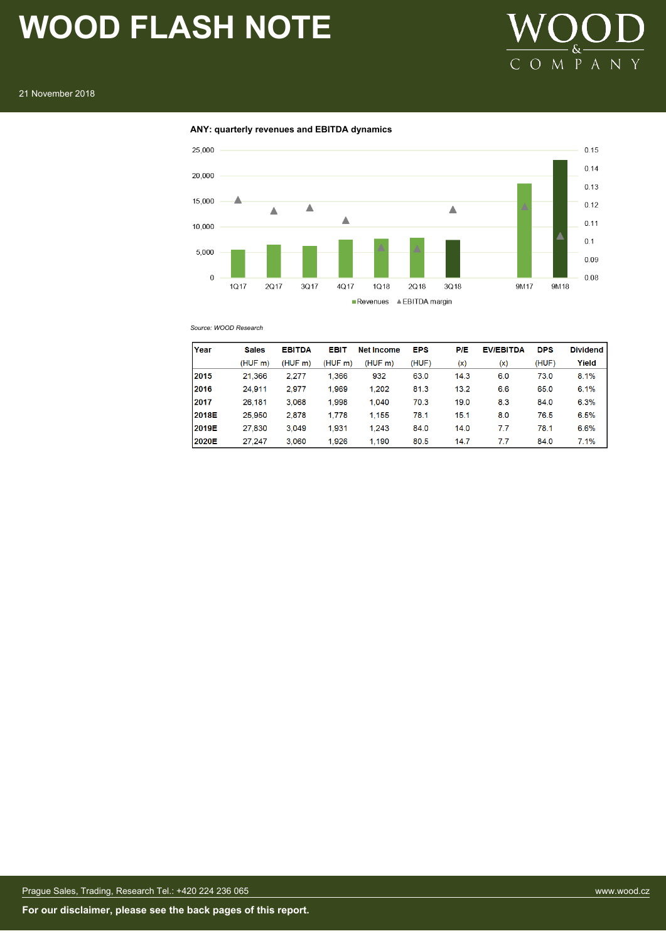

#### **ANY: quarterly revenues and EBITDA dynamics**



*Source: WOOD Research*

| Year  | <b>Sales</b> | <b>EBITDA</b> | EBIT    | <b>Net Income</b> | <b>EPS</b> | <b>P/E</b> | <b>EV/EBITDA</b> | <b>DPS</b> | <b>Dividend</b> |
|-------|--------------|---------------|---------|-------------------|------------|------------|------------------|------------|-----------------|
|       | (HUF m)      | (HUF m)       | (HUF m) | (HUF m)           | (HUF)      | (x)        | (x)              | (HUF)      | Yield           |
| 2015  | 21.366       | 2.277         | 1.366   | 932               | 63.0       | 14.3       | 6.0              | 73.0       | 8.1%            |
| 2016  | 24.911       | 2.977         | 1.969   | 1.202             | 81.3       | 13.2       | 6.6              | 65.0       | 6.1%            |
| 2017  | 26.181       | 3.068         | 1.998   | 1.040             | 70.3       | 19.0       | 8.3              | 84.0       | 6.3%            |
| 2018E | 25.950       | 2,878         | 1,778   | 1.155             | 78.1       | 15.1       | 8.0              | 76.5       | 6.5%            |
| 2019E | 27.830       | 3.049         | 1.931   | 1.243             | 84.0       | 14.0       | 7.7              | 78.1       | 6.6%            |
| 2020E | 27.247       | 3.060         | 1.926   | 1.190             | 80.5       | 14.7       | 7.7              | 84.0       | 7.1%            |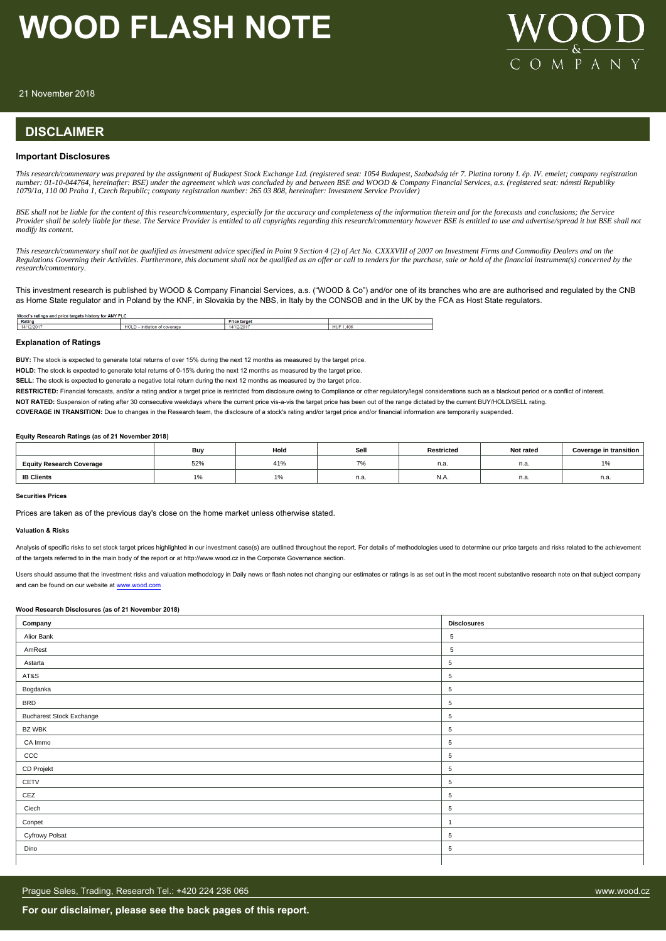

21 November 2018

### **DISCLAIMER**

#### **Important Disclosures**

*This research/commentary was prepared by the assignment of Budapest Stock Exchange Ltd. (registered seat: 1054 Budapest, Szabadság tér 7. Platina torony I. ép. IV. emelet; company registration number: 01-10-044764, hereinafter: BSE) under the agreement which was concluded by and between BSE and WOOD & Company Financial Services, a.s. (registered seat: námstí Republiky 1079/1a, 110 00 Praha 1, Czech Republic; company registration number: 265 03 808, hereinafter: Investment Service Provider)*

*BSE shall not be liable for the content of this research/commentary, especially for the accuracy and completeness of the information therein and for the forecasts and conclusions; the Service Provider shall be solely liable for these. The Service Provider is entitled to all copyrights regarding this research/commentary however BSE is entitled to use and advertise/spread it but BSE shall not modify its content.*

*This research/commentary shall not be qualified as investment advice specified in Point 9 Section 4 (2) of Act No. CXXXVIII of 2007 on Investment Firms and Commodity Dealers and on the Regulations Governing their Activities. Furthermore, this document shall not be qualified as an offer or call to tenders for the purchase, sale or hold of the financial instrument(s) concerned by the research/commentary.*

This investment research is published by WOOD & Company Financial Services, a.s. ("WOOD & Co") and/or one of its branches who are are authorised and regulated by the CNB as Home State regulator and in Poland by the KNF, in Slovakia by the NBS, in Italy by the CONSOB and in the UK by the FCA as Host State regulators.

| Wood<br><b>ANY</b><br>price<br>r for<br>: and<br>ratings<br>.stor<br>,,,,,,,<br> |                   |                  |                  |  |  |  |  |
|----------------------------------------------------------------------------------|-------------------|------------------|------------------|--|--|--|--|
| <b>Ratino</b>                                                                    |                   | Price<br>e targe |                  |  |  |  |  |
| 14.<br>220                                                                       | IULL<br>ш<br>---- |                  | <b>HU</b><br>406 |  |  |  |  |
|                                                                                  |                   |                  |                  |  |  |  |  |

#### **Explanation of Ratings**

**BUY:** The stock is expected to generate total returns of over 15% during the next 12 months as measured by the target price.

**HOLD:** The stock is expected to generate total returns of 0-15% during the next 12 months as measured by the target price.

**SELL:** The stock is expected to generate a negative total return during the next 12 months as measured by the target price.

RESTRICTED: Financial forecasts, and/or a rating and/or a target price is restricted from disclosure owing to Compliance or other regulatory/legal considerations such as a blackout period or a conflict of interest.

**NOT RATED:** Suspension of rating after 30 consecutive weekdays where the current price vis-a-vis the target price has been out of the range dictated by the current BUY/HOLD/SELL rating.

**COVERAGE IN TRANSITION:** Due to changes in the Research team, the disclosure of a stock's rating and/or target price and/or financial information are temporarily suspended.

#### **Equity Research Ratings (as of 21 November 2018)**

|                                 | Buy                    | Hold                        | Sell | Restricted | Not rated | Coverage in transition |
|---------------------------------|------------------------|-----------------------------|------|------------|-----------|------------------------|
| <b>Equity Research Coverage</b> | 52%                    | 41%                         |      | n.a.       | n.a.      | $\overline{a}$<br>1%   |
| <b>IB Clients</b>               | $\overline{ }$<br>l 7o | $\Delta$ 0<br>$\frac{1}{2}$ | n.a. | N.A        | n.a.      | n.a.                   |

#### **Securities Prices**

Prices are taken as of the previous day's close on the home market unless otherwise stated.

#### **Valuation & Risks**

Analysis of specific risks to set stock target prices highlighted in our investment case(s) are outlined throughout the report. For details of methodologies used to determine our price targets and risks related to the achi of the targets referred to in the main body of the report or at http://www.wood.cz in the Corporate Governance section.

Users should assume that the investment risks and valuation methodology in Daily news or flash notes not changing our estimates or ratings is as set out in the most recent substantive research note on that subject company and can be found on our website at [www.wood.com](https://research.wood.cz)

#### **Wood Research Disclosures (as of 21 November 2018)**

| Company                         | <b>Disclosures</b> |
|---------------------------------|--------------------|
| Alior Bank                      | $\overline{5}$     |
| AmRest                          | $\overline{5}$     |
| Astarta                         | 5                  |
| AT&S                            | 5                  |
| Bogdanka                        | $\overline{5}$     |
| <b>BRD</b>                      | 5                  |
| <b>Bucharest Stock Exchange</b> | $\overline{5}$     |
| <b>BZ WBK</b>                   | $\sqrt{5}$         |
| CA Immo                         | 5                  |
| CCC                             | $\overline{5}$     |
| CD Projekt                      | $\overline{5}$     |
| CETV                            | 5                  |
| CEZ                             | $\,$ 5 $\,$        |
| Ciech                           | $\sqrt{5}$         |
| Conpet                          | $\overline{1}$     |
| <b>Cyfrowy Polsat</b>           | $\,$ 5 $\,$        |
| Dino                            | $\overline{5}$     |
|                                 |                    |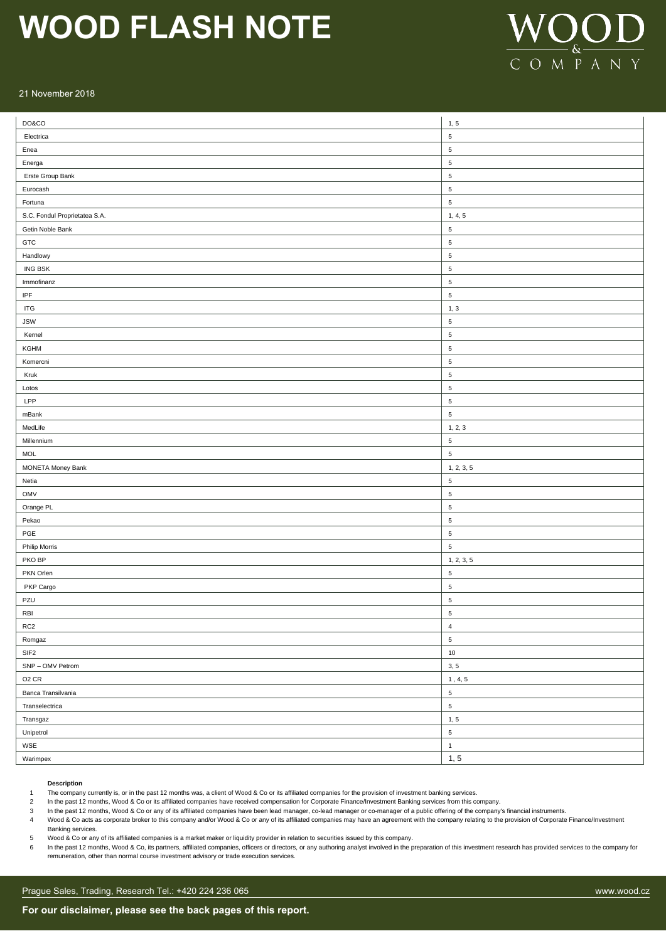

#### 21 November 2018

| DO&CO                             | 1, 5                                                                           |
|-----------------------------------|--------------------------------------------------------------------------------|
| Electrica                         | $\,$ 5 $\,$                                                                    |
| Enea                              | $\sqrt{5}$                                                                     |
| Energa                            | $\sqrt{5}$                                                                     |
| Erste Group Bank                  | $\sqrt{5}$                                                                     |
| Eurocash                          | $\sqrt{5}$                                                                     |
| Fortuna                           | $\,$ 5 $\,$                                                                    |
| S.C. Fondul Proprietatea S.A.     | 1, 4, 5                                                                        |
| Getin Noble Bank                  | $\,$ 5 $\,$                                                                    |
| GTC                               | $\,$ 5 $\,$                                                                    |
| Handlowy                          | $\,$ 5 $\,$                                                                    |
| <b>ING BSK</b>                    | $\,$ 5 $\,$                                                                    |
| Immofinanz                        | $\,$ 5 $\,$                                                                    |
| $\ensuremath{\mathsf{IPF}}$       | $\,$ 5 $\,$                                                                    |
| <b>ITG</b>                        | 1, 3                                                                           |
| <b>JSW</b>                        | $\sqrt{5}$                                                                     |
| Kernel                            | $\sqrt{5}$                                                                     |
| KGHM                              | $\sqrt{5}$                                                                     |
| Komercni                          | $\sqrt{5}$                                                                     |
| Kruk                              | $\sqrt{5}$                                                                     |
| Lotos                             | $\sqrt{5}$                                                                     |
| LPP                               | $\,$ 5 $\,$                                                                    |
| mBank                             | $\,$ 5 $\,$                                                                    |
| MedLife                           | 1, 2, 3                                                                        |
| Millennium                        | $\sqrt{5}$                                                                     |
| <b>MOL</b>                        | $\,$ 5 $\,$                                                                    |
| <b>MONETA Money Bank</b>          | 1, 2, 3, 5                                                                     |
| Netia                             | $\,$ 5 $\,$                                                                    |
| OMV                               | 5                                                                              |
| Orange PL                         | $\sqrt{5}$                                                                     |
| Pekao                             | $\sqrt{5}$                                                                     |
| PGE                               | $\sqrt{5}$                                                                     |
| <b>Philip Morris</b>              | $\sqrt{5}$                                                                     |
| PKO BP                            | 1, 2, 3, 5                                                                     |
| PKN Orlen                         | $\,$ 5 $\,$                                                                    |
| PKP Cargo                         | $\,$ 5 $\,$                                                                    |
| PZU                               | $\sqrt{5}$                                                                     |
| $\ensuremath{\mathsf{RB}}\xspace$ | $\overline{\mathbf{5}}$                                                        |
| RC <sub>2</sub>                   | $\ensuremath{\mathsf{4}}$                                                      |
| Romgaz                            | $\overline{5}$                                                                 |
| SIF <sub>2</sub>                  | $10\,$                                                                         |
| SNP - OMV Petrom                  | 3, 5                                                                           |
| O <sub>2</sub> CR                 | $\ensuremath{\mathsf{1}}$ , $\ensuremath{\mathsf{4}}, \ensuremath{\mathsf{5}}$ |
| Banca Transilvania                | $\,$ 5 $\,$                                                                    |
| Transelectrica                    | $\mathbf{5}$                                                                   |
| Transgaz                          | 1, 5                                                                           |
| Unipetrol                         | $\mathbf{5}$                                                                   |
| $\ensuremath{\mathsf{WSE}}$       | $\mathbf 1$                                                                    |
| Warimpex                          | 1, 5                                                                           |

#### **Description**

Banking services.

1 The company currently is, or in the past 12 months was, a client of Wood & Co or its affiliated companies for the provision of investment banking services.

2 In the past 12 months, Wood & Co or its affiliated companies have received compensation for Corporate Finance/Investment Banking services from this company.

3 In the past 12 months, Wood & Co or any of its affiliated companies have been lead manager, co-lead manager or co-manager of a public offering of the company's financial instruments.

4 Wood & Co acts as corporate broker to this company and/or Wood & Co or any of its affiliated companies may have an agreement with the company relating to the provision of Corporate Finance/Investment

5 Wood & Co or any of its affiliated companies is a market maker or liquidity provider in relation to securities issued by this company.

6 In the past 12 months, Wood & Co, its partners, affiliated companies, officers or directors, or any authoring analyst involved in the preparation of this investment research has provided services to the company for remuneration, other than normal course investment advisory or trade execution services.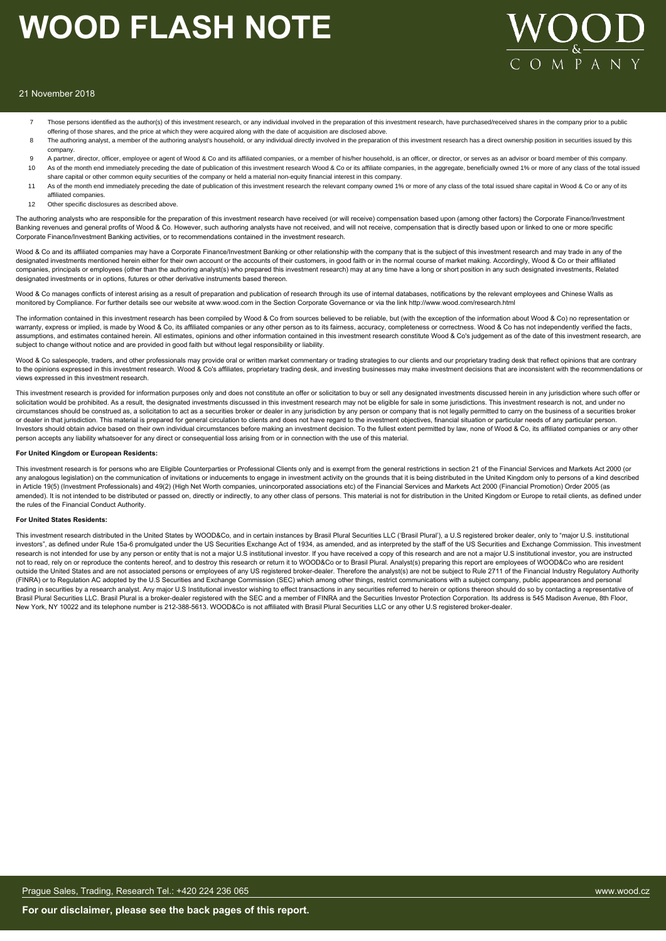

#### 21 November 2018

- Those persons identified as the author(s) of this investment research, or any individual involved in the preparation of this investment research, have purchased/received shares in the company prior to a public offering of those shares, and the price at which they were acquired along with the date of acquisition are disclosed above.
- 8 The authoring analyst, a member of the authoring analyst's household, or any individual directly involved in the preparation of this investment research has a direct ownership position in securities issued by this company.
- 9 A partner, director, officer, employee or agent of Wood & Co and its affiliated companies, or a member of his/her household, is an officer, or director, or serves as an advisor or board member of this company. 10 As of the month end immediately preceding the date of publication of this investment research Wood & Co or its affiliate companies, in the aggregate, beneficially owned 1% or more of any class of the total issued
- share capital or other common equity securities of the company or held a material non-equity financial interest in this company.
- 11 As of the month end immediately preceding the date of publication of this investment research the relevant company owned 1% or more of any class of the total issued share capital in Wood & Co or any of its affiliated companies.
- 12 Other specific disclosures as described above

The authoring analysts who are responsible for the preparation of this investment research have received (or will receive) compensation based upon (among other factors) the Corporate Finance/Investment Banking revenues and general profits of Wood & Co. However, such authoring analysts have not received, and will not receive, compensation that is directly based upon or linked to one or more specific Corporate Finance/Investment Banking activities, or to recommendations contained in the investment research.

Wood & Co and its affiliated companies may have a Corporate Finance/Investment Banking or other relationship with the company that is the subject of this investment research and may trade in any of the designated investments mentioned herein either for their own account or the accounts of their customers, in good faith or in the normal course of market making. Accordingly, Wood & Co or their affiliated companies, principals or employees (other than the authoring analyst(s) who prepared this investment research) may at any time have a long or short position in any such designated investments, Related designated investments or in options, futures or other derivative instruments based thereon.

Wood & Co manages conflicts of interest arising as a result of preparation and publication of research through its use of internal databases, notifications by the relevant employees and Chinese Walls as monitored by Compliance. For further details see our website at www.wood.com in the Section Corporate Governance or via the link http://www.wood.com/research.html

The information contained in this investment research has been compiled by Wood & Co from sources believed to be reliable, but (with the exception of the information about Wood & Co) no representation or warranty, express or implied, is made by Wood & Co, its affiliated companies or any other person as to its fairness, accuracy, completeness or correctness. Wood & Co has not independently verified the facts, assumptions, and estimates contained herein. All estimates, opinions and other information contained in this investment research constitute Wood & Co's judgement as of the date of this investment research, are subject to change without notice and are provided in good faith but without legal responsibility or liability.

Wood & Co salespeople, traders, and other professionals may provide oral or written market commentary or trading strategies to our clients and our proprietary trading desk that reflect opinions that are contrary to the opinions expressed in this investment research. Wood & Co's affiliates, proprietary trading desk, and investing businesses may make investment decisions that are inconsistent with the recommendations or views expressed in this investment research.

This investment research is provided for information purposes only and does not constitute an offer or solicitation to buy or sell any designated investments discussed herein in any jurisdiction where such offer or solicitation would be prohibited. As a result, the designated investments discussed in this investment research may not be eligible for sale in some jurisdictions. This investment research is not, and under no circumstances should be construed as, a solicitation to act as a securities broker or dealer in any jurisdiction by any person or company that is not legally permitted to carry on the business of a securities broker or dealer in that jurisdiction. This material is prepared for general circulation to clients and does not have regard to the investment objectives, financial situation or particular needs of any particular person. Investors should obtain advice based on their own individual circumstances before making an investment decision. To the fullest extent permitted by law, none of Wood & Co, its affiliated companies or any other person accepts any liability whatsoever for any direct or consequential loss arising from or in connection with the use of this material.

#### **For United Kingdom or European Residents:**

This investment research is for persons who are Eligible Counterparties or Professional Clients only and is exempt from the general restrictions in section 21 of the Financial Services and Markets Act 2000 (or any analogous legislation) on the communication of invitations or inducements to engage in investment activity on the grounds that it is being distributed in the United Kingdom only to persons of a kind described in Article 19(5) (Investment Professionals) and 49(2) (High Net Worth companies, unincorporated associations etc) of the Financial Services and Markets Act 2000 (Financial Promotion) Order 2005 (as amended). It is not intended to be distributed or passed on, directly or indirectly, to any other class of persons. This material is not for distribution in the United Kingdom or Europe to retail clients, as defined under the rules of the Financial Conduct Authority.

#### **For United States Residents:**

This investment research distributed in the United States by WOOD&Co, and in certain instances by Brasil Plural Securities LLC ('Brasil Plural'), a U.S registered broker dealer, only to "major U.S. institutional investors", as defined under Rule 15a-6 promulgated under the US Securities Exchange Act of 1934, as amended, and as interpreted by the staff of the US Securities and Exchange Commission. This investment research is not intended for use by any person or entity that is not a major U.S institutional investor. If you have received a copy of this research and are not a major U.S institutional investor, you are instructed not to read, rely on or reproduce the contents hereof, and to destroy this research or return it to WOOD&Co or to Brasil Plural. Analyst(s) preparing this report are employees of WOOD&Co who are resident outside the United States and are not associated persons or employees of any US registered broker-dealer. Therefore the analyst(s) are not be subject to Rule 2711 of the Financial Industry Regulatory Authority (FINRA) or to Regulation AC adopted by the U.S Securities and Exchange Commission (SEC) which among other things, restrict communications with a subject company, public appearances and personal trading in securities by a research analyst. Any major U.S Institutional investor wishing to effect transactions in any securities referred to herein or options thereon should do so by contacting a representative of Brasil Plural Securities LLC. Brasil Plural is a broker-dealer registered with the SEC and a member of FINRA and the Securities Investor Protection Corporation. Its address is 545 Madison Avenue, 8th Floor, New York, NY 10022 and its telephone number is 212-388-5613. WOOD&Co is not affiliated with Brasil Plural Securities LLC or any other U.S registered broker-dealer.